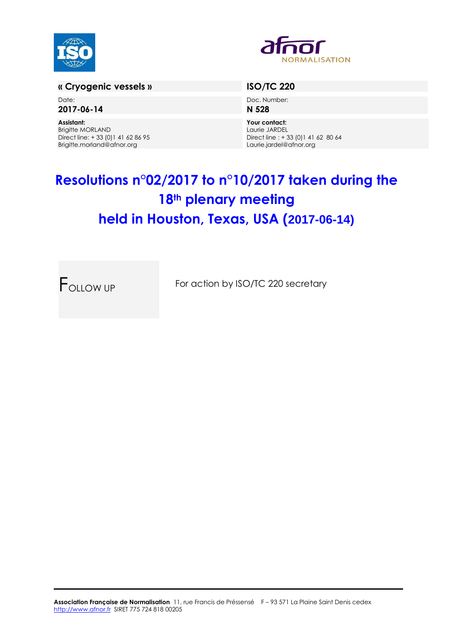



# **« Cryogenic vessels » ISO/TC 220**

Date: **2017-06-14**

**Assistant:** Brigitte MORLAND Direct line: + 33 (0)1 41 62 86 95 Brigitte.morland@afnor.org

Doc. Number: **N 528**

**Your contact:** Laurie JARDEL Direct line : + 33 (0)1 41 62 80 64 Laurie.jardel@afnor.org

# **Resolutions n°02/2017 to n°10/2017 taken during the 18th plenary meeting held in Houston, Texas, USA (2017-06-14)**

FOLLOW UP For action by ISO/TC 220 secretary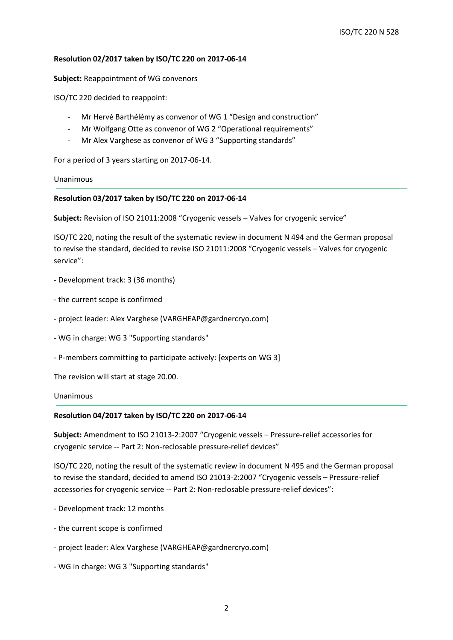### **Resolution 02/2017 taken by ISO/TC 220 on 2017-06-14**

**Subject:** Reappointment of WG convenors

ISO/TC 220 decided to reappoint:

- Mr Hervé Barthélémy as convenor of WG 1 "Design and construction"
- Mr Wolfgang Otte as convenor of WG 2 "Operational requirements"
- Mr Alex Varghese as convenor of WG 3 "Supporting standards"

For a period of 3 years starting on 2017-06-14.

Unanimous

#### **Resolution 03/2017 taken by ISO/TC 220 on 2017-06-14**

**Subject:** Revision of ISO 21011:2008 "Cryogenic vessels – Valves for cryogenic service"

ISO/TC 220, noting the result of the systematic review in document N 494 and the German proposal to revise the standard, decided to revise ISO 21011:2008 "Cryogenic vessels – Valves for cryogenic service":

- Development track: 3 (36 months)
- the current scope is confirmed
- project leader: Alex Varghese (VARGHEAP@gardnercryo.com)
- WG in charge: WG 3 "Supporting standards"
- P-members committing to participate actively: [experts on WG 3]

The revision will start at stage 20.00.

### Unanimous

#### **Resolution 04/2017 taken by ISO/TC 220 on 2017-06-14**

**Subject:** Amendment to ISO 21013-2:2007 "Cryogenic vessels – Pressure-relief accessories for cryogenic service -- Part 2: Non-reclosable pressure-relief devices"

ISO/TC 220, noting the result of the systematic review in document N 495 and the German proposal to revise the standard, decided to amend ISO 21013-2:2007 "Cryogenic vessels – Pressure-relief accessories for cryogenic service -- Part 2: Non-reclosable pressure-relief devices":

- Development track: 12 months
- the current scope is confirmed
- project leader: Alex Varghese (VARGHEAP@gardnercryo.com)
- WG in charge: WG 3 "Supporting standards"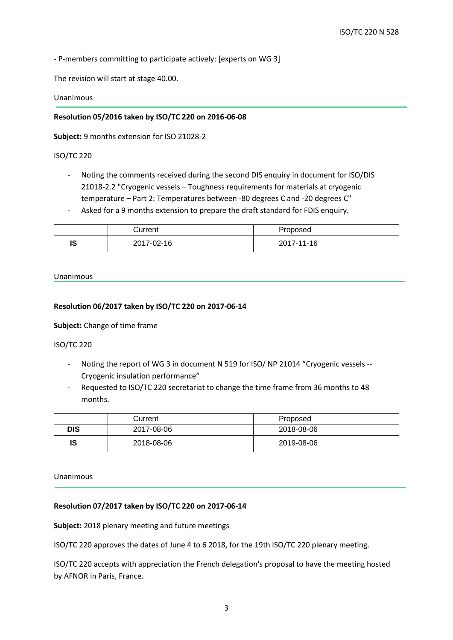- P-members committing to participate actively: [experts on WG 3]

The revision will start at stage 40.00.

Unanimous

### **Resolution 05/2016 taken by ISO/TC 220 on 2016-06-08**

**Subject:** 9 months extension for ISO 21028-2

#### ISO/TC 220

- Noting the comments received during the second DIS enquiry in document for ISO/DIS 21018-2.2 "Cryogenic vessels – Toughness requirements for materials at cryogenic temperature – Part 2: Temperatures between -80 degrees C and -20 degrees C"
- Asked for a 9 months extension to prepare the draft standard for FDIS enquiry.

|    | Current    | Proposed   |
|----|------------|------------|
| ıs | 2017-02-16 | 2017-11-16 |

#### Unanimous

#### **Resolution 06/2017 taken by ISO/TC 220 on 2017-06-14**

# **Subject:** Change of time frame

#### ISO/TC 220

- Noting the report of WG 3 in document N 519 for ISO/ NP 21014 "Cryogenic vessels -- Cryogenic insulation performance"
- Requested to ISO/TC 220 secretariat to change the time frame from 36 months to 48 months.

|     | Current    | Proposed   |
|-----|------------|------------|
| DIS | 2017-08-06 | 2018-08-06 |
| IS  | 2018-08-06 | 2019-08-06 |

#### Unanimous

# **Resolution 07/2017 taken by ISO/TC 220 on 2017-06-14**

**Subject:** 2018 plenary meeting and future meetings

ISO/TC 220 approves the dates of June 4 to 6 2018, for the 19th ISO/TC 220 plenary meeting.

ISO/TC 220 accepts with appreciation the French delegation's proposal to have the meeting hosted by AFNOR in Paris, France.